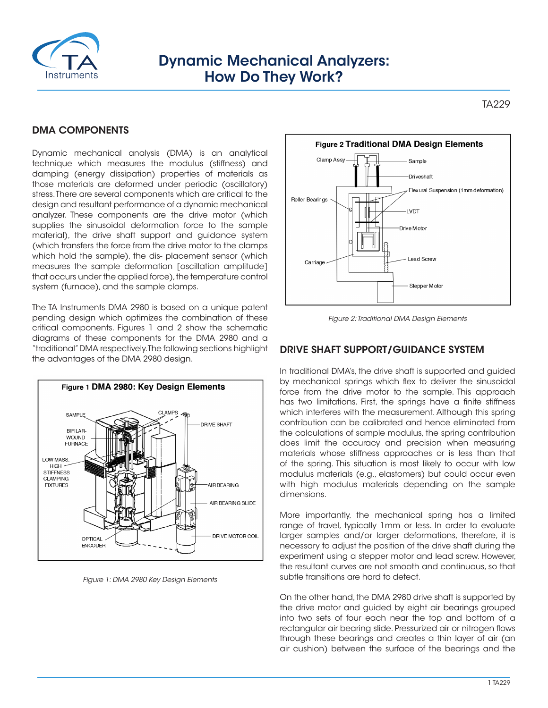

# Dynamic Mechanical Analyzers: How Do They Work?

TA229

# DMA COMPONENTS

Dynamic mechanical analysis (DMA) is an analytical technique which measures the modulus (stiffness) and damping (energy dissipation) properties of materials as those materials are deformed under periodic (oscillatory) stress. There are several components which are critical to the design and resultant performance of a dynamic mechanical analyzer. These components are the drive motor (which supplies the sinusoidal deformation force to the sample material), the drive shaft support and guidance system (which transfers the force from the drive motor to the clamps which hold the sample), the dis- placement sensor (which measures the sample deformation [oscillation amplitude] that occurs under the applied force), the temperature control system (furnace), and the sample clamps.

The TA Instruments DMA 2980 is based on a unique patent pending design which optimizes the combination of these critical components. Figures 1 and 2 show the schematic diagrams of these components for the DMA 2980 and a "traditional" DMA respectively. The following sections highlight the advantages of the DMA 2980 design.



*Figure 1: DMA 2980 Key Design Elements*



*Figure 2: Traditional DMA Design Elements*

### DRIVE SHAFT SUPPORT/GUIDANCE SYSTEM

In traditional DMA's, the drive shaft is supported and guided by mechanical springs which flex to deliver the sinusoidal force from the drive motor to the sample. This approach has two limitations. First, the springs have a finite stiffness which interferes with the measurement. Although this spring contribution can be calibrated and hence eliminated from the calculations of sample modulus, the spring contribution does limit the accuracy and precision when measuring materials whose stiffness approaches or is less than that of the spring. This situation is most likely to occur with low modulus materials (e.g., elastomers) but could occur even with high modulus materials depending on the sample dimensions.

More importantly, the mechanical spring has a limited range of travel, typically 1mm or less. In order to evaluate larger samples and/or larger deformations, therefore, it is necessary to adjust the position of the drive shaft during the experiment using a stepper motor and lead screw. However, the resultant curves are not smooth and continuous, so that subtle transitions are hard to detect.

On the other hand, the DMA 2980 drive shaft is supported by the drive motor and guided by eight air bearings grouped into two sets of four each near the top and bottom of a rectangular air bearing slide. Pressurized air or nitrogen flows through these bearings and creates a thin layer of air (an air cushion) between the surface of the bearings and the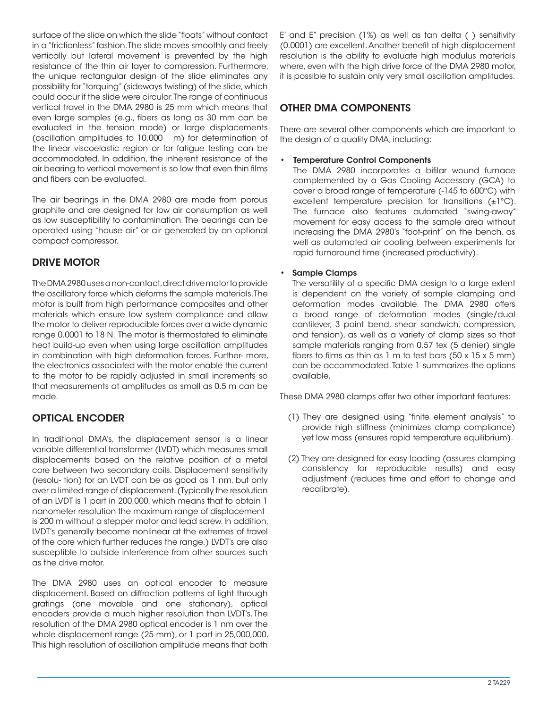surface of the slide on which the slide "floats" without contact in a "frictionless" fashion. The slide moves smoothly and freely vertically but lateral movement is prevented by the high resistance of the thin air layer to compression. Furthermore, the unique rectangular design of the slide eliminates any possibility for "torquing" (sideways twisting) of the slide, which could occur if the slide were circular. The range of continuous vertical travel in the DMA 2980 is 25 mm which means that even large samples (e.g., fibers as long as 30 mm can be evaluated in the tension mode) or large displacements (oscillation amplitudes to 10,000 m) for determination of the linear viscoelastic region or for fatigue testing can be accommodated. In addition, the inherent resistance of the air bearing to vertical movement is so low that even thin films and fibers can be evaluated.

The air bearings in the DMA 2980 are made from porous graphite and are designed for low air consumption as well as low susceptibility to contamination. The bearings can be operated using "house air" or air generated by an optional compact compressor.

# DRIVE MOTOR

The DMA 2980 uses a non-contact, direct drive motor to provide the oscillatory force which deforms the sample materials. The motor is built from high performance composites and other materials which ensure low system compliance and allow the motor to deliver reproducible forces over a wide dynamic range 0.0001 to 18 N. The motor is thermostated to eliminate heat build-up even when using large oscillation amplitudes in combination with high deformation forces. Further- more, the electronics associated with the motor enable the current to the motor to be rapidly adjusted in small increments so that measurements at amplitudes as small as 0.5 m can be made.

# OPTICAL ENCODER

In traditional DMA's, the displacement sensor is a linear variable differential transformer (LVDT) which measures small displacements based on the relative position of a metal core between two secondary coils. Displacement sensitivity (resolu- tion) for an LVDT can be as good as 1 nm, but only over a limited range of displacement. (Typically the resolution of an LVDT is 1 part in 200,000, which means that to obtain 1 nanometer resolution the maximum range of displacement is 200 m without a stepper motor and lead screw. In addition, LVDT's generally become nonlinear at the extremes of travel of the core which further reduces the range.) LVDT's are also susceptible to outside interference from other sources such as the drive motor.

The DMA 2980 uses an optical encoder to measure displacement. Based on diffraction patterns of light through gratings (one movable and one stationary), optical encoders provide a much higher resolution than LVDT's. The resolution of the DMA 2980 optical encoder is 1 nm over the whole displacement range (25 mm), or 1 part in 25,000,000. This high resolution of oscillation amplitude means that both

E' and E" precision (1%) as well as tan delta ( ) sensitivity (0.0001) are excellent. Another benefit of high displacement resolution is the ability to evaluate high modulus materials where, even with the high drive force of the DMA 2980 motor, it is possible to sustain only very small oscillation amplitudes.

# OTHER DMA COMPONENTS

There are several other components which are important to the design of a quality DMA, including:

#### **Temperature Control Components**

The DMA 2980 incorporates a bifilar wound furnace complemented by a Gas Cooling Accessory (GCA) to cover a broad range of temperature (-145 to 600°C) with excellent temperature precision for transitions  $(\pm 1^{\circ}C)$ . The furnace also features automated "swing-away" movement for easy access to the sample area without increasing the DMA 2980's "foot-print" on the bench, as well as automated air cooling between experiments for rapid turnaround time (increased productivity).

### • Sample Clamps

The versatility of a specific DMA design to a large extent is dependent on the variety of sample clamping and deformation modes available. The DMA 2980 offers a broad range of deformation modes (single/dual cantilever, 3 point bend, shear sandwich, compression, and tension), as well as a variety of clamp sizes so that sample materials ranging from 0.57 tex (5 denier) single fibers to films as thin as  $1 \text{ m}$  to test bars (50 x  $15 \times 5 \text{ mm}$ ) can be accommodated. Table 1 summarizes the options available.

These DMA 2980 clamps offer two other important features:

- (1) They are designed using "finite element analysis" to provide high stiffness (minimizes clamp compliance) yet low mass (ensures rapid temperature equilibrium).
- (2) They are designed for easy loading (assures clamping consistency for reproducible results) and easy adjustment (reduces time and effort to change and recalibrate).